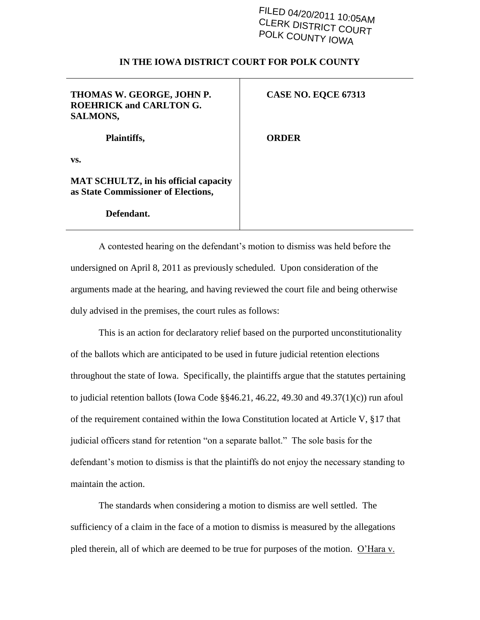## FILED 04/20/2011 10:05AM CLERK DISTRICT COURT POLK COUNTY IOWA

## **IN THE IOWA DISTRICT COURT FOR POLK COUNTY**

| THOMAS W. GEORGE, JOHN P.<br><b>ROEHRICK and CARLTON G.</b><br><b>SALMONS,</b>      | CASE NO. EQCE 67313 |
|-------------------------------------------------------------------------------------|---------------------|
| Plaintiffs,                                                                         | <b>ORDER</b>        |
| VS.                                                                                 |                     |
| <b>MAT SCHULTZ, in his official capacity</b><br>as State Commissioner of Elections, |                     |

## **Defendant.**

A contested hearing on the defendant"s motion to dismiss was held before the undersigned on April 8, 2011 as previously scheduled. Upon consideration of the arguments made at the hearing, and having reviewed the court file and being otherwise duly advised in the premises, the court rules as follows:

This is an action for declaratory relief based on the purported unconstitutionality of the ballots which are anticipated to be used in future judicial retention elections throughout the state of Iowa. Specifically, the plaintiffs argue that the statutes pertaining to judicial retention ballots (Iowa Code  $\S$ §46.21, 46.22, 49.30 and 49.37(1)(c)) run afoul of the requirement contained within the Iowa Constitution located at Article V, §17 that judicial officers stand for retention "on a separate ballot." The sole basis for the defendant"s motion to dismiss is that the plaintiffs do not enjoy the necessary standing to maintain the action.

The standards when considering a motion to dismiss are well settled. The sufficiency of a claim in the face of a motion to dismiss is measured by the allegations pled therein, all of which are deemed to be true for purposes of the motion.  $Q'$ Hara v.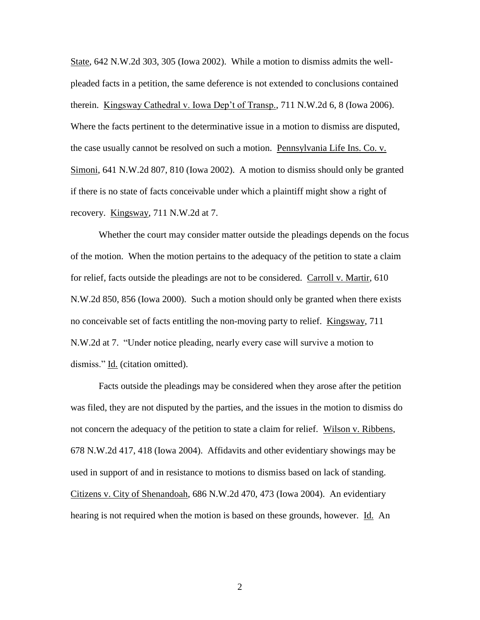State, 642 N.W.2d 303, 305 (Iowa 2002). While a motion to dismiss admits the wellpleaded facts in a petition, the same deference is not extended to conclusions contained therein. Kingsway Cathedral v. Iowa Dep"t of Transp., 711 N.W.2d 6, 8 (Iowa 2006). Where the facts pertinent to the determinative issue in a motion to dismiss are disputed, the case usually cannot be resolved on such a motion. Pennsylvania Life Ins. Co. v. Simoni, 641 N.W.2d 807, 810 (Iowa 2002). A motion to dismiss should only be granted if there is no state of facts conceivable under which a plaintiff might show a right of recovery. Kingsway, 711 N.W.2d at 7.

Whether the court may consider matter outside the pleadings depends on the focus of the motion. When the motion pertains to the adequacy of the petition to state a claim for relief, facts outside the pleadings are not to be considered. Carroll v. Martir, 610 N.W.2d 850, 856 (Iowa 2000). Such a motion should only be granted when there exists no conceivable set of facts entitling the non-moving party to relief. Kingsway, 711 N.W.2d at 7. "Under notice pleading, nearly every case will survive a motion to dismiss." Id. (citation omitted).

Facts outside the pleadings may be considered when they arose after the petition was filed, they are not disputed by the parties, and the issues in the motion to dismiss do not concern the adequacy of the petition to state a claim for relief. Wilson v. Ribbens, 678 N.W.2d 417, 418 (Iowa 2004). Affidavits and other evidentiary showings may be used in support of and in resistance to motions to dismiss based on lack of standing. Citizens v. City of Shenandoah, 686 N.W.2d 470, 473 (Iowa 2004). An evidentiary hearing is not required when the motion is based on these grounds, however. Id. An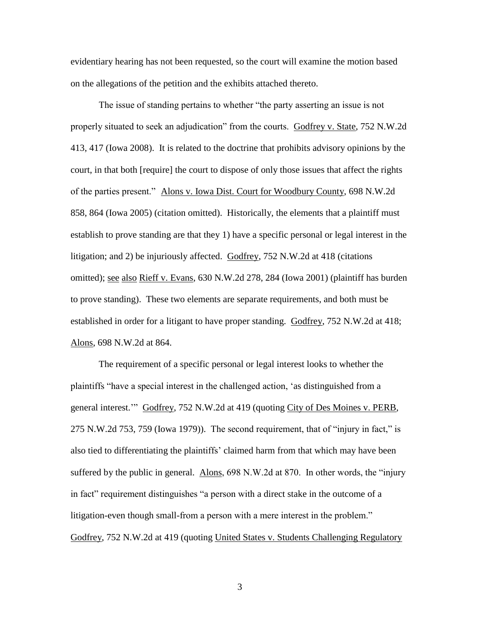evidentiary hearing has not been requested, so the court will examine the motion based on the allegations of the petition and the exhibits attached thereto.

The issue of standing pertains to whether "the party asserting an issue is not properly situated to seek an adjudication" from the courts. Godfrey v. State, 752 N.W.2d 413, 417 (Iowa 2008). It is related to the doctrine that prohibits advisory opinions by the court, in that both [require] the court to dispose of only those issues that affect the rights of the parties present." Alons v. Iowa Dist. Court for Woodbury County, 698 N.W.2d 858, 864 (Iowa 2005) (citation omitted). Historically, the elements that a plaintiff must establish to prove standing are that they 1) have a specific personal or legal interest in the litigation; and 2) be injuriously affected. Godfrey, 752 N.W.2d at 418 (citations omitted); see also Rieff v. Evans, 630 N.W.2d 278, 284 (Iowa 2001) (plaintiff has burden to prove standing). These two elements are separate requirements, and both must be established in order for a litigant to have proper standing. Godfrey, 752 N.W.2d at 418; Alons, 698 N.W.2d at 864.

The requirement of a specific personal or legal interest looks to whether the plaintiffs "have a special interest in the challenged action, "as distinguished from a general interest."" Godfrey, 752 N.W.2d at 419 (quoting City of Des Moines v. PERB, 275 N.W.2d 753, 759 (Iowa 1979)). The second requirement, that of "injury in fact," is also tied to differentiating the plaintiffs" claimed harm from that which may have been suffered by the public in general. Alons, 698 N.W.2d at 870. In other words, the "injury in fact" requirement distinguishes "a person with a direct stake in the outcome of a litigation-even though small-from a person with a mere interest in the problem." Godfrey, 752 N.W.2d at 419 (quoting United States v. Students Challenging Regulatory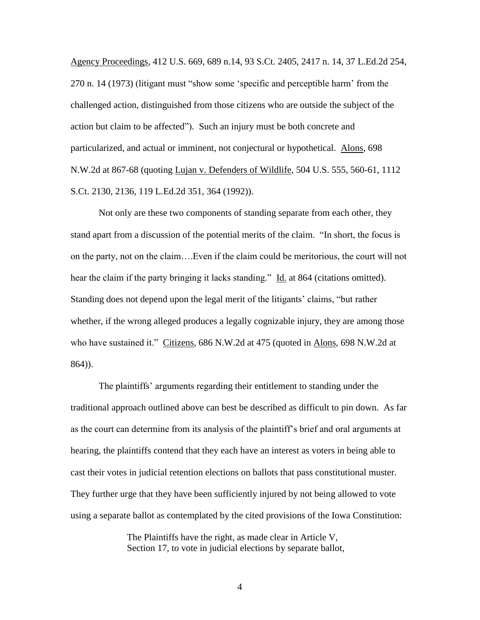Agency Proceedings, 412 U.S. 669, 689 n.14, 93 S.Ct. 2405, 2417 n. 14, 37 L.Ed.2d 254, 270 n. 14 (1973) (litigant must "show some "specific and perceptible harm" from the challenged action, distinguished from those citizens who are outside the subject of the action but claim to be affected"). Such an injury must be both concrete and particularized, and actual or imminent, not conjectural or hypothetical. Alons, 698 N.W.2d at 867-68 (quoting Lujan v. Defenders of Wildlife, 504 U.S. 555, 560-61, 1112 S.Ct. 2130, 2136, 119 L.Ed.2d 351, 364 (1992)).

Not only are these two components of standing separate from each other, they stand apart from a discussion of the potential merits of the claim. "In short, the focus is on the party, not on the claim….Even if the claim could be meritorious, the court will not hear the claim if the party bringing it lacks standing." Id. at 864 (citations omitted). Standing does not depend upon the legal merit of the litigants" claims, "but rather whether, if the wrong alleged produces a legally cognizable injury, they are among those who have sustained it." Citizens, 686 N.W.2d at 475 (quoted in Alons, 698 N.W.2d at 864)).

The plaintiffs" arguments regarding their entitlement to standing under the traditional approach outlined above can best be described as difficult to pin down. As far as the court can determine from its analysis of the plaintiff"s brief and oral arguments at hearing, the plaintiffs contend that they each have an interest as voters in being able to cast their votes in judicial retention elections on ballots that pass constitutional muster. They further urge that they have been sufficiently injured by not being allowed to vote using a separate ballot as contemplated by the cited provisions of the Iowa Constitution:

> The Plaintiffs have the right, as made clear in Article V, Section 17, to vote in judicial elections by separate ballot,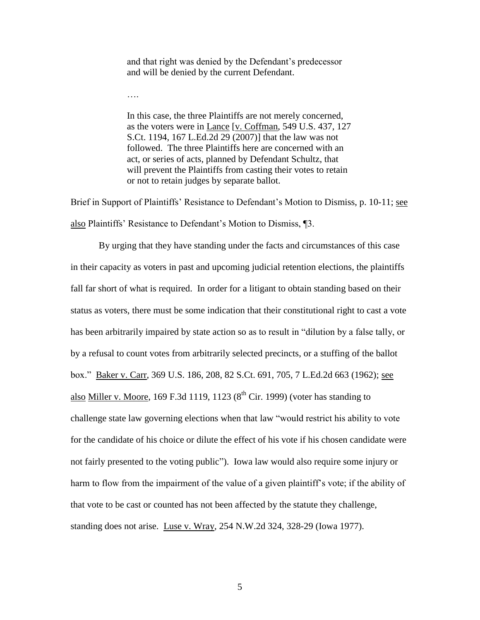and that right was denied by the Defendant's predecessor and will be denied by the current Defendant.

….

In this case, the three Plaintiffs are not merely concerned, as the voters were in Lance [v. Coffman, 549 U.S. 437, 127 S.Ct. 1194, 167 L.Ed.2d 29 (2007)] that the law was not followed. The three Plaintiffs here are concerned with an act, or series of acts, planned by Defendant Schultz, that will prevent the Plaintiffs from casting their votes to retain or not to retain judges by separate ballot.

Brief in Support of Plaintiffs' Resistance to Defendant's Motion to Dismiss, p. 10-11; see also Plaintiffs' Resistance to Defendant's Motion to Dismiss, 13.

By urging that they have standing under the facts and circumstances of this case in their capacity as voters in past and upcoming judicial retention elections, the plaintiffs fall far short of what is required. In order for a litigant to obtain standing based on their status as voters, there must be some indication that their constitutional right to cast a vote has been arbitrarily impaired by state action so as to result in "dilution by a false tally, or by a refusal to count votes from arbitrarily selected precincts, or a stuffing of the ballot box." Baker v. Carr, 369 U.S. 186, 208, 82 S.Ct. 691, 705, 7 L.Ed.2d 663 (1962); see also Miller v. Moore, 169 F.3d 1119, 1123  $(8<sup>th</sup>$  Cir. 1999) (voter has standing to challenge state law governing elections when that law "would restrict his ability to vote for the candidate of his choice or dilute the effect of his vote if his chosen candidate were not fairly presented to the voting public"). Iowa law would also require some injury or harm to flow from the impairment of the value of a given plaintiff's vote; if the ability of that vote to be cast or counted has not been affected by the statute they challenge, standing does not arise. Luse v. Wray, 254 N.W.2d 324, 328-29 (Iowa 1977).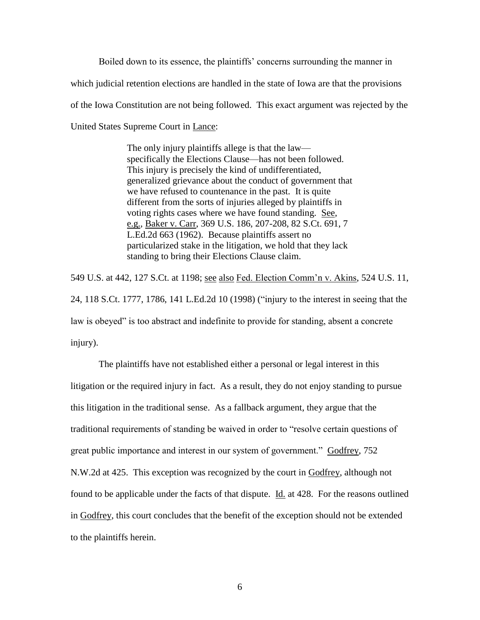Boiled down to its essence, the plaintiffs" concerns surrounding the manner in which judicial retention elections are handled in the state of Iowa are that the provisions of the Iowa Constitution are not being followed. This exact argument was rejected by the United States Supreme Court in Lance:

> The only injury plaintiffs allege is that the law specifically the Elections Clause—has not been followed. This injury is precisely the kind of undifferentiated, generalized grievance about the conduct of government that we have refused to countenance in the past. It is quite different from the sorts of injuries alleged by plaintiffs in voting rights cases where we have found standing. See, e.g., Baker v. Carr, 369 U.S. 186, 207-208, 82 S.Ct. 691, 7 L.Ed.2d 663 (1962). Because plaintiffs assert no particularized stake in the litigation, we hold that they lack standing to bring their Elections Clause claim.

549 U.S. at 442, 127 S.Ct. at 1198; see also Fed. Election Comm"n v. Akins, 524 U.S. 11, 24, 118 S.Ct. 1777, 1786, 141 L.Ed.2d 10 (1998) ("injury to the interest in seeing that the law is obeyed" is too abstract and indefinite to provide for standing, absent a concrete injury).

The plaintiffs have not established either a personal or legal interest in this litigation or the required injury in fact. As a result, they do not enjoy standing to pursue this litigation in the traditional sense. As a fallback argument, they argue that the traditional requirements of standing be waived in order to "resolve certain questions of great public importance and interest in our system of government." Godfrey, 752 N.W.2d at 425. This exception was recognized by the court in Godfrey, although not found to be applicable under the facts of that dispute.  $\underline{Id}$  at 428. For the reasons outlined in Godfrey, this court concludes that the benefit of the exception should not be extended to the plaintiffs herein.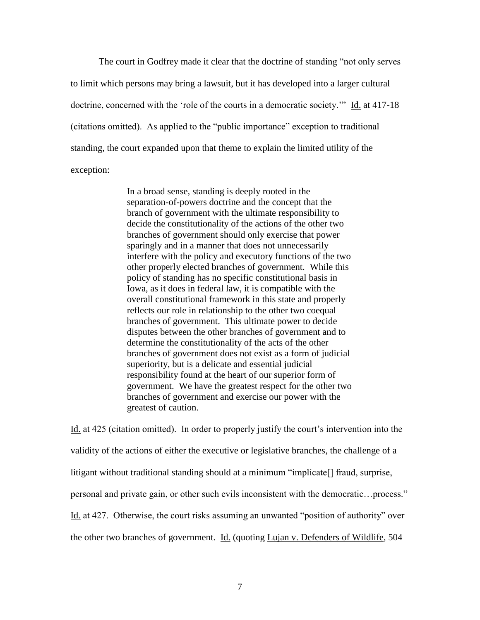The court in Godfrey made it clear that the doctrine of standing "not only serves to limit which persons may bring a lawsuit, but it has developed into a larger cultural doctrine, concerned with the "role of the courts in a democratic society."" Id. at 417-18 (citations omitted). As applied to the "public importance" exception to traditional standing, the court expanded upon that theme to explain the limited utility of the exception:

> In a broad sense, standing is deeply rooted in the separation-of-powers doctrine and the concept that the branch of government with the ultimate responsibility to decide the constitutionality of the actions of the other two branches of government should only exercise that power sparingly and in a manner that does not unnecessarily interfere with the policy and executory functions of the two other properly elected branches of government. While this policy of standing has no specific constitutional basis in Iowa, as it does in federal law, it is compatible with the overall constitutional framework in this state and properly reflects our role in relationship to the other two coequal branches of government. This ultimate power to decide disputes between the other branches of government and to determine the constitutionality of the acts of the other branches of government does not exist as a form of judicial superiority, but is a delicate and essential judicial responsibility found at the heart of our superior form of government. We have the greatest respect for the other two branches of government and exercise our power with the greatest of caution.

Id. at 425 (citation omitted). In order to properly justify the court's intervention into the validity of the actions of either the executive or legislative branches, the challenge of a litigant without traditional standing should at a minimum "implicate[] fraud, surprise, personal and private gain, or other such evils inconsistent with the democratic…process." Id. at 427. Otherwise, the court risks assuming an unwanted "position of authority" over the other two branches of government. Id. (quoting Lujan v. Defenders of Wildlife, 504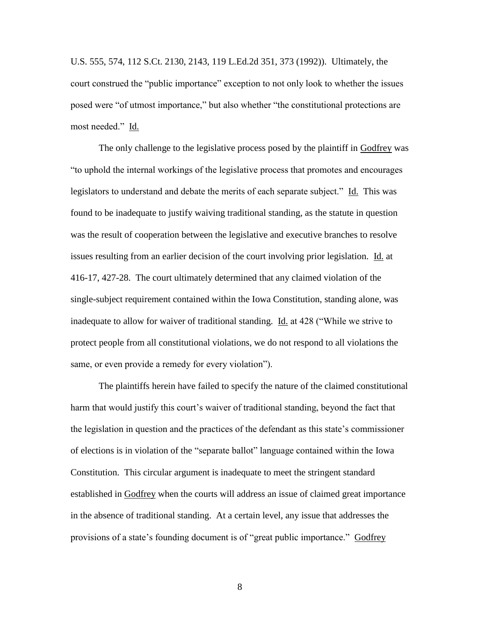U.S. 555, 574, 112 S.Ct. 2130, 2143, 119 L.Ed.2d 351, 373 (1992)). Ultimately, the court construed the "public importance" exception to not only look to whether the issues posed were "of utmost importance," but also whether "the constitutional protections are most needed." Id.

The only challenge to the legislative process posed by the plaintiff in Godfrey was "to uphold the internal workings of the legislative process that promotes and encourages legislators to understand and debate the merits of each separate subject." Id. This was found to be inadequate to justify waiving traditional standing, as the statute in question was the result of cooperation between the legislative and executive branches to resolve issues resulting from an earlier decision of the court involving prior legislation. Id. at 416-17, 427-28. The court ultimately determined that any claimed violation of the single-subject requirement contained within the Iowa Constitution, standing alone, was inadequate to allow for waiver of traditional standing. Id. at 428 ("While we strive to protect people from all constitutional violations, we do not respond to all violations the same, or even provide a remedy for every violation").

The plaintiffs herein have failed to specify the nature of the claimed constitutional harm that would justify this court's waiver of traditional standing, beyond the fact that the legislation in question and the practices of the defendant as this state"s commissioner of elections is in violation of the "separate ballot" language contained within the Iowa Constitution. This circular argument is inadequate to meet the stringent standard established in Godfrey when the courts will address an issue of claimed great importance in the absence of traditional standing. At a certain level, any issue that addresses the provisions of a state's founding document is of "great public importance." Godfrey